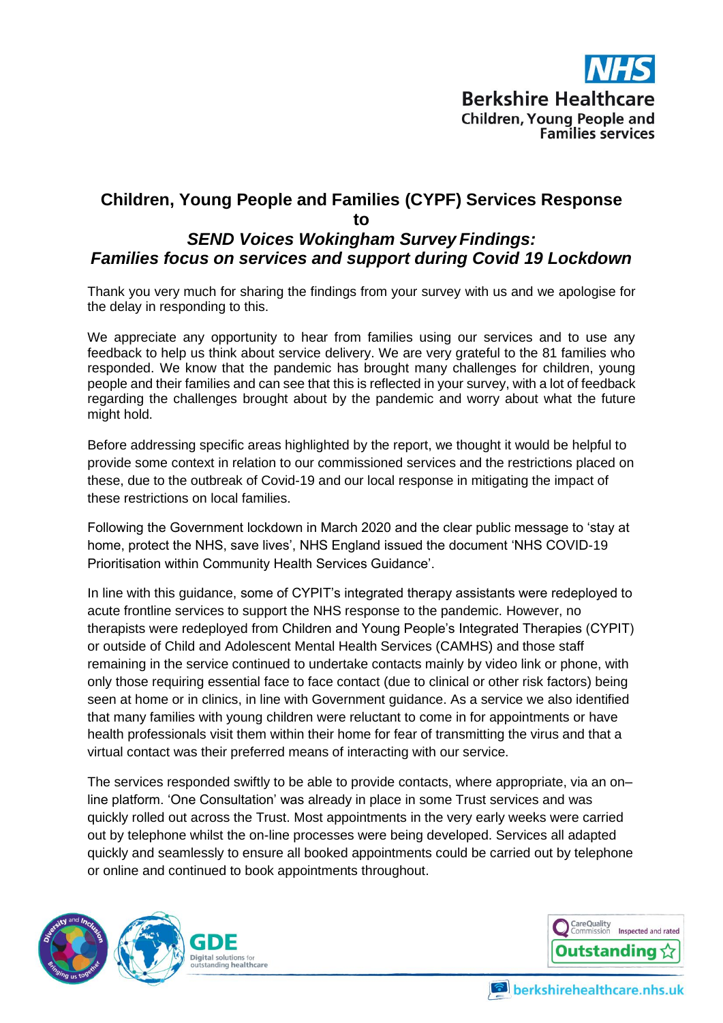

### **Children, Young People and Families (CYPF) Services Response to**  *SEND Voices Wokingham Survey Findings: Families focus on services and support during Covid 19 Lockdown*

Thank you very much for sharing the findings from your survey with us and we apologise for the delay in responding to this.

We appreciate any opportunity to hear from families using our services and to use any feedback to help us think about service delivery. We are very grateful to the 81 families who responded. We know that the pandemic has brought many challenges for children, young people and their families and can see that this is reflected in your survey, with a lot of feedback regarding the challenges brought about by the pandemic and worry about what the future might hold.

Before addressing specific areas highlighted by the report, we thought it would be helpful to provide some context in relation to our commissioned services and the restrictions placed on these, due to the outbreak of Covid-19 and our local response in mitigating the impact of these restrictions on local families.

Following the Government lockdown in March 2020 and the clear public message to 'stay at home, protect the NHS, save lives', NHS England issued the document 'NHS COVID-19 Prioritisation within Community Health Services Guidance'.

In line with this guidance, some of CYPIT's integrated therapy assistants were redeployed to acute frontline services to support the NHS response to the pandemic. However, no therapists were redeployed from Children and Young People's Integrated Therapies (CYPIT) or outside of Child and Adolescent Mental Health Services (CAMHS) and those staff remaining in the service continued to undertake contacts mainly by video link or phone, with only those requiring essential face to face contact (due to clinical or other risk factors) being seen at home or in clinics, in line with Government guidance. As a service we also identified that many families with young children were reluctant to come in for appointments or have health professionals visit them within their home for fear of transmitting the virus and that a virtual contact was their preferred means of interacting with our service.

The services responded swiftly to be able to provide contacts, where appropriate, via an on– line platform. 'One Consultation' was already in place in some Trust services and was quickly rolled out across the Trust. Most appointments in the very early weeks were carried out by telephone whilst the on-line processes were being developed. Services all adapted quickly and seamlessly to ensure all booked appointments could be carried out by telephone or online and continued to book appointments throughout.





berkshirehealthcare.nhs.uk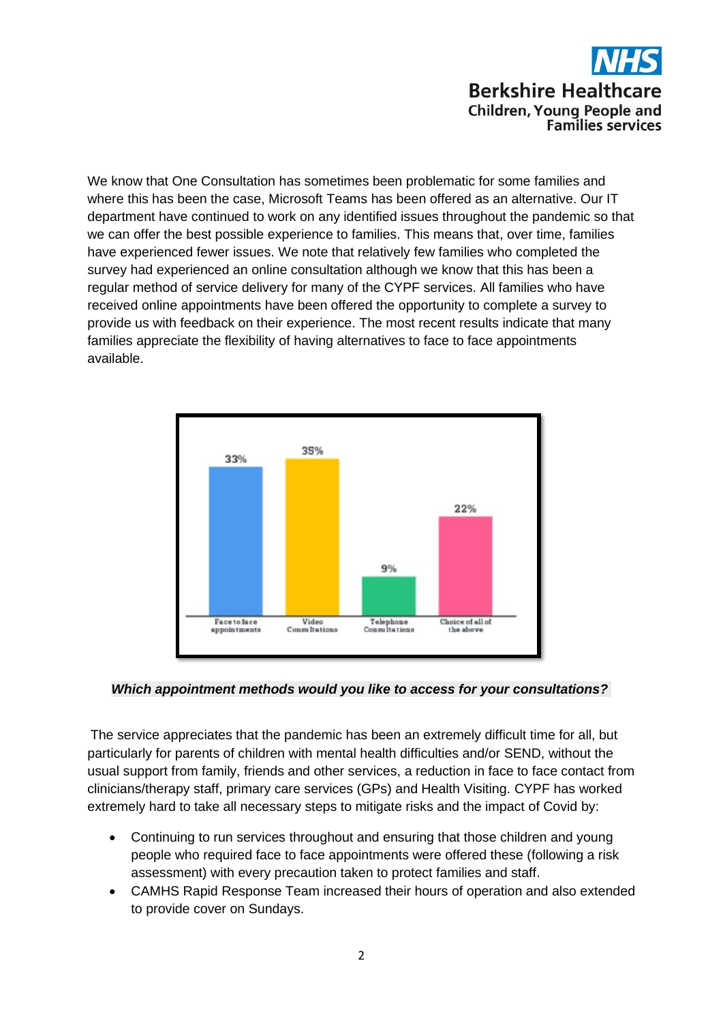We know that One Consultation has sometimes been problematic for some families and where this has been the case, Microsoft Teams has been offered as an alternative. Our IT department have continued to work on any identified issues throughout the pandemic so that we can offer the best possible experience to families. This means that, over time, families have experienced fewer issues. We note that relatively few families who completed the survey had experienced an online consultation although we know that this has been a regular method of service delivery for many of the CYPF services. All families who have received online appointments have been offered the opportunity to complete a survey to provide us with feedback on their experience. The most recent results indicate that many families appreciate the flexibility of having alternatives to face to face appointments available.



#### *Which appointment methods would you like to access for your consultations?*

The service appreciates that the pandemic has been an extremely difficult time for all, but particularly for parents of children with mental health difficulties and/or SEND, without the usual support from family, friends and other services, a reduction in face to face contact from clinicians/therapy staff, primary care services (GPs) and Health Visiting. CYPF has worked extremely hard to take all necessary steps to mitigate risks and the impact of Covid by:

- Continuing to run services throughout and ensuring that those children and young people who required face to face appointments were offered these (following a risk assessment) with every precaution taken to protect families and staff.
- CAMHS Rapid Response Team increased their hours of operation and also extended to provide cover on Sundays.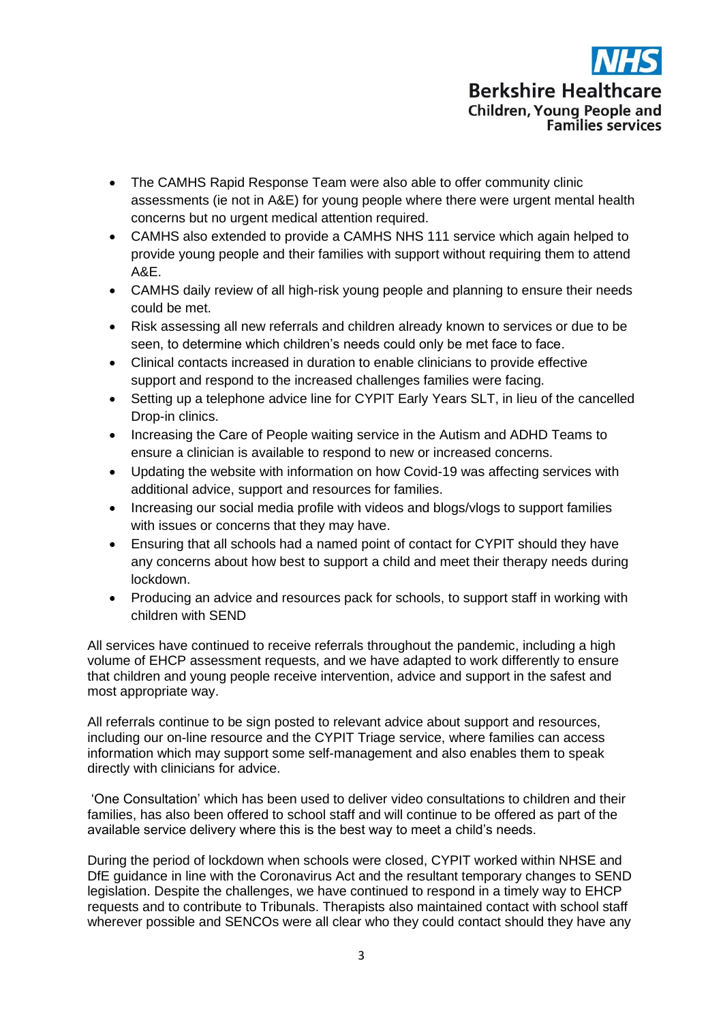- The CAMHS Rapid Response Team were also able to offer community clinic assessments (ie not in A&E) for young people where there were urgent mental health concerns but no urgent medical attention required.
- CAMHS also extended to provide a CAMHS NHS 111 service which again helped to provide young people and their families with support without requiring them to attend A&E.
- CAMHS daily review of all high-risk young people and planning to ensure their needs could be met.
- Risk assessing all new referrals and children already known to services or due to be seen, to determine which children's needs could only be met face to face.
- Clinical contacts increased in duration to enable clinicians to provide effective support and respond to the increased challenges families were facing.
- Setting up a telephone advice line for CYPIT Early Years SLT, in lieu of the cancelled Drop-in clinics.
- Increasing the Care of People waiting service in the Autism and ADHD Teams to ensure a clinician is available to respond to new or increased concerns.
- Updating the website with information on how Covid-19 was affecting services with additional advice, support and resources for families.
- Increasing our social media profile with videos and blogs/vlogs to support families with issues or concerns that they may have.
- Ensuring that all schools had a named point of contact for CYPIT should they have any concerns about how best to support a child and meet their therapy needs during lockdown.
- Producing an advice and resources pack for schools, to support staff in working with children with SEND

All services have continued to receive referrals throughout the pandemic, including a high volume of EHCP assessment requests, and we have adapted to work differently to ensure that children and young people receive intervention, advice and support in the safest and most appropriate way.

All referrals continue to be sign posted to relevant advice about support and resources, including our on-line resource and the CYPIT Triage service, where families can access information which may support some self-management and also enables them to speak directly with clinicians for advice.

'One Consultation' which has been used to deliver video consultations to children and their families, has also been offered to school staff and will continue to be offered as part of the available service delivery where this is the best way to meet a child's needs.

During the period of lockdown when schools were closed, CYPIT worked within NHSE and DfE guidance in line with the Coronavirus Act and the resultant temporary changes to SEND legislation. Despite the challenges, we have continued to respond in a timely way to EHCP requests and to contribute to Tribunals. Therapists also maintained contact with school staff wherever possible and SENCOs were all clear who they could contact should they have any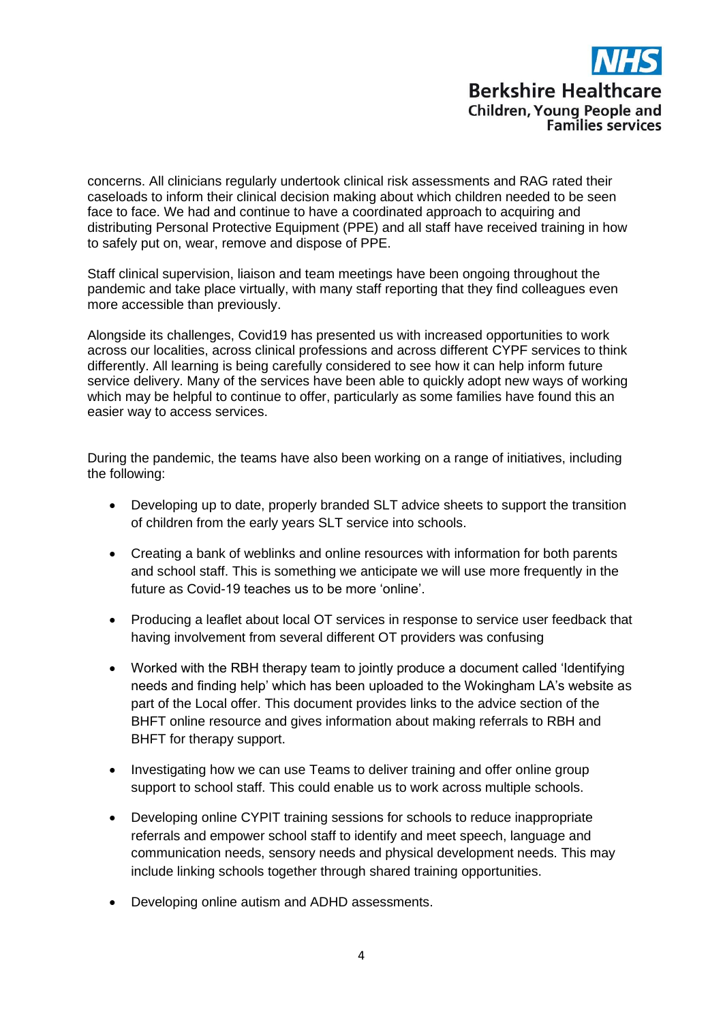concerns. All clinicians regularly undertook clinical risk assessments and RAG rated their caseloads to inform their clinical decision making about which children needed to be seen face to face. We had and continue to have a coordinated approach to acquiring and distributing Personal Protective Equipment (PPE) and all staff have received training in how to safely put on, wear, remove and dispose of PPE.

Staff clinical supervision, liaison and team meetings have been ongoing throughout the pandemic and take place virtually, with many staff reporting that they find colleagues even more accessible than previously.

Alongside its challenges, Covid19 has presented us with increased opportunities to work across our localities, across clinical professions and across different CYPF services to think differently. All learning is being carefully considered to see how it can help inform future service delivery. Many of the services have been able to quickly adopt new ways of working which may be helpful to continue to offer, particularly as some families have found this an easier way to access services.

During the pandemic, the teams have also been working on a range of initiatives, including the following:

- Developing up to date, properly branded SLT advice sheets to support the transition of children from the early years SLT service into schools.
- Creating a bank of weblinks and online resources with information for both parents and school staff. This is something we anticipate we will use more frequently in the future as Covid-19 teaches us to be more 'online'.
- Producing a leaflet about local OT services in response to service user feedback that having involvement from several different OT providers was confusing
- Worked with the RBH therapy team to jointly produce a document called 'Identifying needs and finding help' which has been uploaded to the Wokingham LA's website as part of the Local offer. This document provides links to the advice section of the BHFT online resource and gives information about making referrals to RBH and BHFT for therapy support.
- Investigating how we can use Teams to deliver training and offer online group support to school staff. This could enable us to work across multiple schools.
- Developing online CYPIT training sessions for schools to reduce inappropriate referrals and empower school staff to identify and meet speech, language and communication needs, sensory needs and physical development needs. This may include linking schools together through shared training opportunities.
- Developing online autism and ADHD assessments.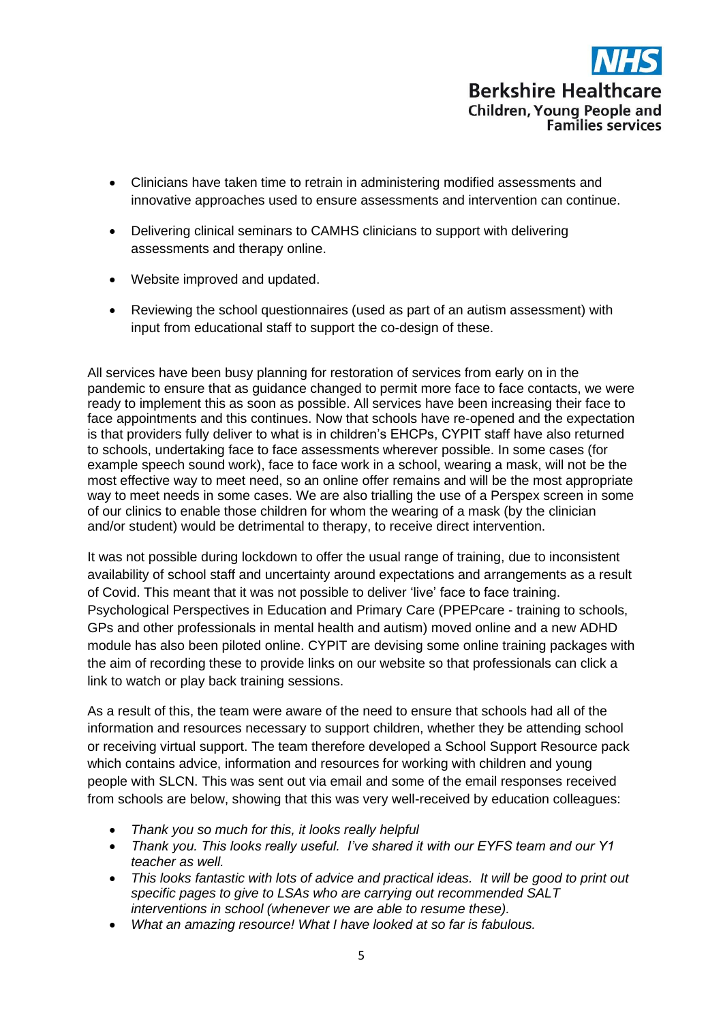

- Clinicians have taken time to retrain in administering modified assessments and innovative approaches used to ensure assessments and intervention can continue.
- Delivering clinical seminars to CAMHS clinicians to support with delivering assessments and therapy online.
- Website improved and updated.
- Reviewing the school questionnaires (used as part of an autism assessment) with input from educational staff to support the co-design of these.

All services have been busy planning for restoration of services from early on in the pandemic to ensure that as guidance changed to permit more face to face contacts, we were ready to implement this as soon as possible. All services have been increasing their face to face appointments and this continues. Now that schools have re-opened and the expectation is that providers fully deliver to what is in children's EHCPs, CYPIT staff have also returned to schools, undertaking face to face assessments wherever possible. In some cases (for example speech sound work), face to face work in a school, wearing a mask, will not be the most effective way to meet need, so an online offer remains and will be the most appropriate way to meet needs in some cases. We are also trialling the use of a Perspex screen in some of our clinics to enable those children for whom the wearing of a mask (by the clinician and/or student) would be detrimental to therapy, to receive direct intervention.

It was not possible during lockdown to offer the usual range of training, due to inconsistent availability of school staff and uncertainty around expectations and arrangements as a result of Covid. This meant that it was not possible to deliver 'live' face to face training. Psychological Perspectives in Education and Primary Care (PPEPcare - training to schools, GPs and other professionals in mental health and autism) moved online and a new ADHD module has also been piloted online. CYPIT are devising some online training packages with the aim of recording these to provide links on our website so that professionals can click a link to watch or play back training sessions.

As a result of this, the team were aware of the need to ensure that schools had all of the information and resources necessary to support children, whether they be attending school or receiving virtual support. The team therefore developed a School Support Resource pack which contains advice, information and resources for working with children and young people with SLCN. This was sent out via email and some of the email responses received from schools are below, showing that this was very well-received by education colleagues:

- *Thank you so much for this, it looks really helpful*
- *Thank you. This looks really useful. I've shared it with our EYFS team and our Y1 teacher as well.*
- *This looks fantastic with lots of advice and practical ideas. It will be good to print out specific pages to give to LSAs who are carrying out recommended SALT interventions in school (whenever we are able to resume these).*
- *What an amazing resource! What I have looked at so far is fabulous.*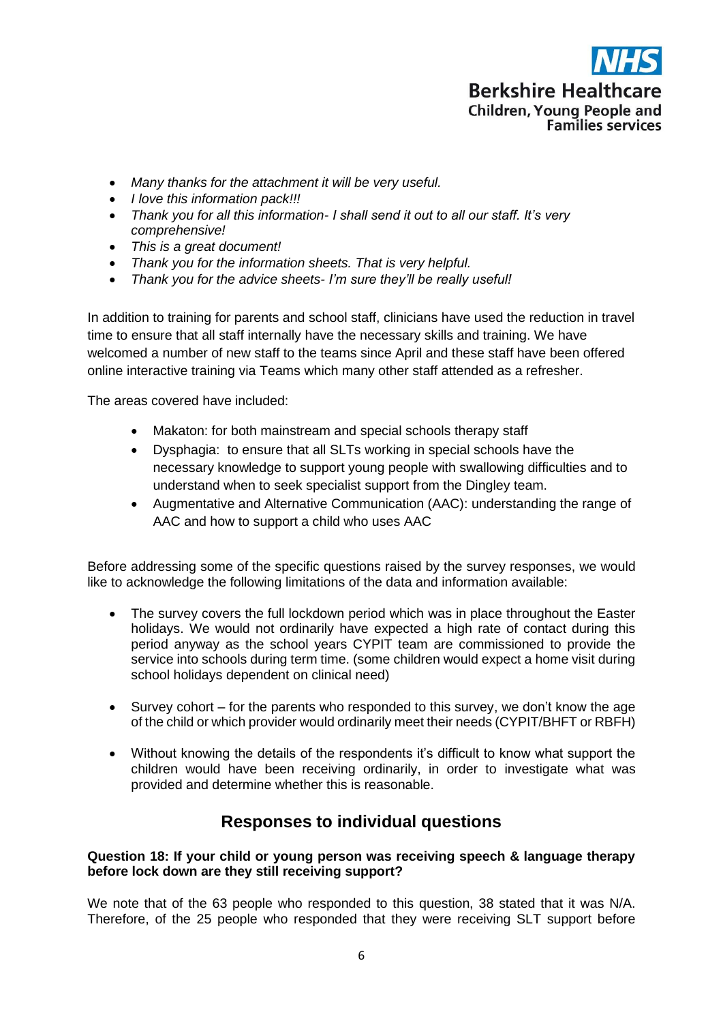

- *Many thanks for the attachment it will be very useful.*
- *I love this information pack!!!*
- *Thank you for all this information- I shall send it out to all our staff. It's very comprehensive!*
- *This is a great document!*
- *Thank you for the information sheets. That is very helpful.*
- *Thank you for the advice sheets- I'm sure they'll be really useful!*

In addition to training for parents and school staff, clinicians have used the reduction in travel time to ensure that all staff internally have the necessary skills and training. We have welcomed a number of new staff to the teams since April and these staff have been offered online interactive training via Teams which many other staff attended as a refresher.

The areas covered have included:

- Makaton: for both mainstream and special schools therapy staff
- Dysphagia: to ensure that all SLTs working in special schools have the necessary knowledge to support young people with swallowing difficulties and to understand when to seek specialist support from the Dingley team.
- Augmentative and Alternative Communication (AAC): understanding the range of AAC and how to support a child who uses AAC

Before addressing some of the specific questions raised by the survey responses, we would like to acknowledge the following limitations of the data and information available:

- The survey covers the full lockdown period which was in place throughout the Easter holidays. We would not ordinarily have expected a high rate of contact during this period anyway as the school years CYPIT team are commissioned to provide the service into schools during term time. (some children would expect a home visit during school holidays dependent on clinical need)
- Survey cohort for the parents who responded to this survey, we don't know the age of the child or which provider would ordinarily meet their needs (CYPIT/BHFT or RBFH)
- Without knowing the details of the respondents it's difficult to know what support the children would have been receiving ordinarily, in order to investigate what was provided and determine whether this is reasonable.

## **Responses to individual questions**

#### **Question 18: If your child or young person was receiving speech & language therapy before lock down are they still receiving support?**

We note that of the 63 people who responded to this question, 38 stated that it was N/A. Therefore, of the 25 people who responded that they were receiving SLT support before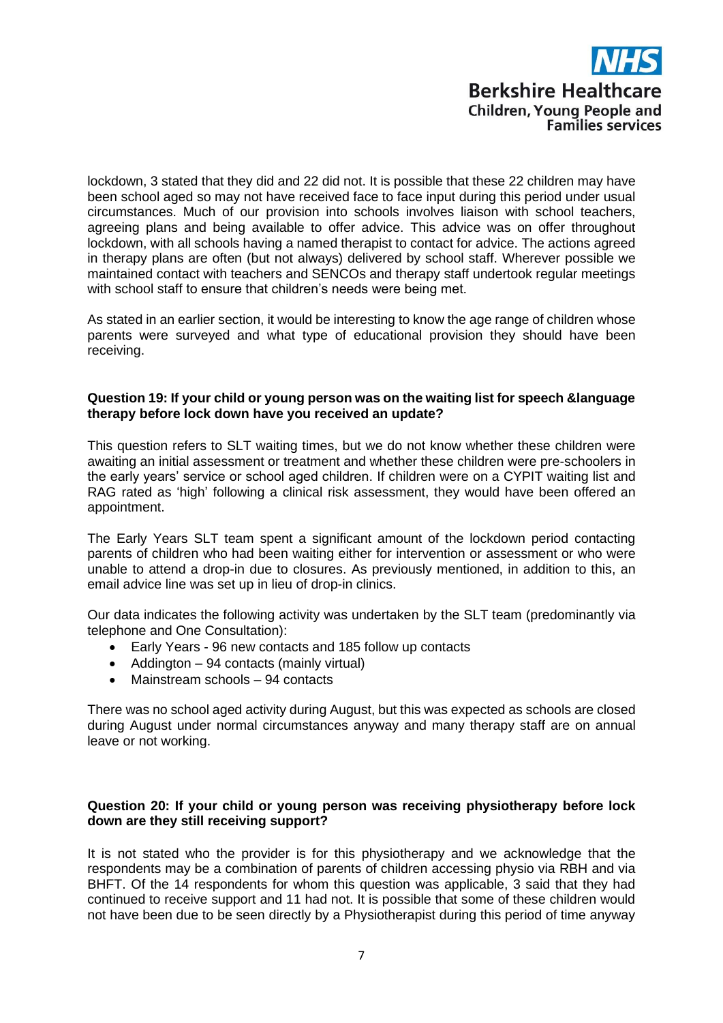lockdown, 3 stated that they did and 22 did not. It is possible that these 22 children may have been school aged so may not have received face to face input during this period under usual circumstances. Much of our provision into schools involves liaison with school teachers, agreeing plans and being available to offer advice. This advice was on offer throughout lockdown, with all schools having a named therapist to contact for advice. The actions agreed in therapy plans are often (but not always) delivered by school staff. Wherever possible we maintained contact with teachers and SENCOs and therapy staff undertook regular meetings with school staff to ensure that children's needs were being met.

As stated in an earlier section, it would be interesting to know the age range of children whose parents were surveyed and what type of educational provision they should have been receiving.

#### **Question 19: If your child or young person was on the waiting list for speech &language therapy before lock down have you received an update?**

This question refers to SLT waiting times, but we do not know whether these children were awaiting an initial assessment or treatment and whether these children were pre-schoolers in the early years' service or school aged children. If children were on a CYPIT waiting list and RAG rated as 'high' following a clinical risk assessment, they would have been offered an appointment.

The Early Years SLT team spent a significant amount of the lockdown period contacting parents of children who had been waiting either for intervention or assessment or who were unable to attend a drop-in due to closures. As previously mentioned, in addition to this, an email advice line was set up in lieu of drop-in clinics.

Our data indicates the following activity was undertaken by the SLT team (predominantly via telephone and One Consultation):

- Early Years 96 new contacts and 185 follow up contacts
- Addington 94 contacts (mainly virtual)
- Mainstream schools 94 contacts

There was no school aged activity during August, but this was expected as schools are closed during August under normal circumstances anyway and many therapy staff are on annual leave or not working.

#### **Question 20: If your child or young person was receiving physiotherapy before lock down are they still receiving support?**

It is not stated who the provider is for this physiotherapy and we acknowledge that the respondents may be a combination of parents of children accessing physio via RBH and via BHFT. Of the 14 respondents for whom this question was applicable, 3 said that they had continued to receive support and 11 had not. It is possible that some of these children would not have been due to be seen directly by a Physiotherapist during this period of time anyway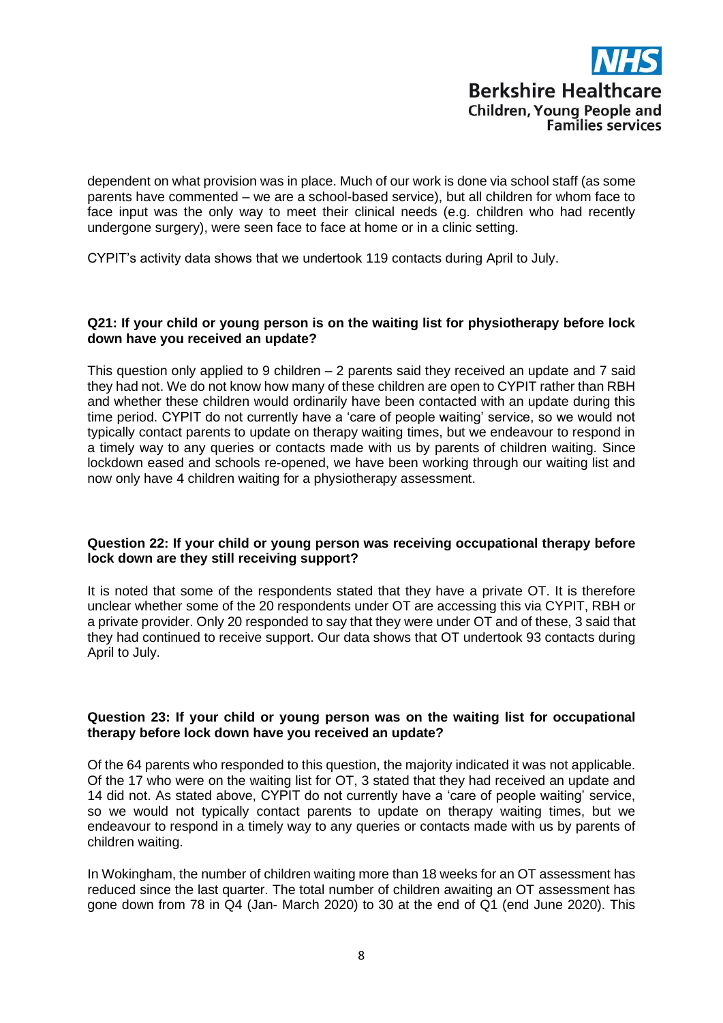

dependent on what provision was in place. Much of our work is done via school staff (as some parents have commented – we are a school-based service), but all children for whom face to face input was the only way to meet their clinical needs (e.g. children who had recently undergone surgery), were seen face to face at home or in a clinic setting.

CYPIT's activity data shows that we undertook 119 contacts during April to July.

#### **Q21: If your child or young person is on the waiting list for physiotherapy before lock down have you received an update?**

This question only applied to 9 children – 2 parents said they received an update and 7 said they had not. We do not know how many of these children are open to CYPIT rather than RBH and whether these children would ordinarily have been contacted with an update during this time period. CYPIT do not currently have a 'care of people waiting' service, so we would not typically contact parents to update on therapy waiting times, but we endeavour to respond in a timely way to any queries or contacts made with us by parents of children waiting. Since lockdown eased and schools re-opened, we have been working through our waiting list and now only have 4 children waiting for a physiotherapy assessment.

#### **Question 22: If your child or young person was receiving occupational therapy before lock down are they still receiving support?**

It is noted that some of the respondents stated that they have a private OT. It is therefore unclear whether some of the 20 respondents under OT are accessing this via CYPIT, RBH or a private provider. Only 20 responded to say that they were under OT and of these, 3 said that they had continued to receive support. Our data shows that OT undertook 93 contacts during April to July.

#### **Question 23: If your child or young person was on the waiting list for occupational therapy before lock down have you received an update?**

Of the 64 parents who responded to this question, the majority indicated it was not applicable. Of the 17 who were on the waiting list for OT, 3 stated that they had received an update and 14 did not. As stated above, CYPIT do not currently have a 'care of people waiting' service, so we would not typically contact parents to update on therapy waiting times, but we endeavour to respond in a timely way to any queries or contacts made with us by parents of children waiting.

In Wokingham, the number of children waiting more than 18 weeks for an OT assessment has reduced since the last quarter. The total number of children awaiting an OT assessment has gone down from 78 in Q4 (Jan- March 2020) to 30 at the end of Q1 (end June 2020). This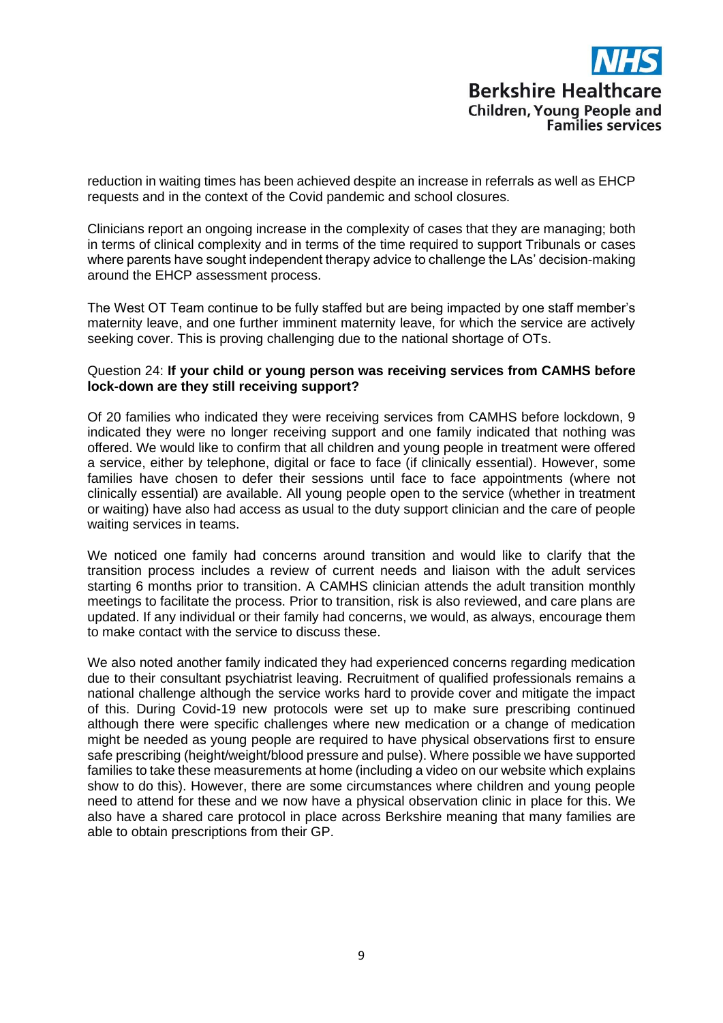reduction in waiting times has been achieved despite an increase in referrals as well as EHCP requests and in the context of the Covid pandemic and school closures.

Clinicians report an ongoing increase in the complexity of cases that they are managing; both in terms of clinical complexity and in terms of the time required to support Tribunals or cases where parents have sought independent therapy advice to challenge the LAs' decision-making around the EHCP assessment process.

The West OT Team continue to be fully staffed but are being impacted by one staff member's maternity leave, and one further imminent maternity leave, for which the service are actively seeking cover. This is proving challenging due to the national shortage of OTs.

#### Question 24: **If your child or young person was receiving services from CAMHS before lock-down are they still receiving support?**

Of 20 families who indicated they were receiving services from CAMHS before lockdown, 9 indicated they were no longer receiving support and one family indicated that nothing was offered. We would like to confirm that all children and young people in treatment were offered a service, either by telephone, digital or face to face (if clinically essential). However, some families have chosen to defer their sessions until face to face appointments (where not clinically essential) are available. All young people open to the service (whether in treatment or waiting) have also had access as usual to the duty support clinician and the care of people waiting services in teams.

We noticed one family had concerns around transition and would like to clarify that the transition process includes a review of current needs and liaison with the adult services starting 6 months prior to transition. A CAMHS clinician attends the adult transition monthly meetings to facilitate the process. Prior to transition, risk is also reviewed, and care plans are updated. If any individual or their family had concerns, we would, as always, encourage them to make contact with the service to discuss these.

We also noted another family indicated they had experienced concerns regarding medication due to their consultant psychiatrist leaving. Recruitment of qualified professionals remains a national challenge although the service works hard to provide cover and mitigate the impact of this. During Covid-19 new protocols were set up to make sure prescribing continued although there were specific challenges where new medication or a change of medication might be needed as young people are required to have physical observations first to ensure safe prescribing (height/weight/blood pressure and pulse). Where possible we have supported families to take these measurements at home (including a video on our website which explains show to do this). However, there are some circumstances where children and young people need to attend for these and we now have a physical observation clinic in place for this. We also have a shared care protocol in place across Berkshire meaning that many families are able to obtain prescriptions from their GP.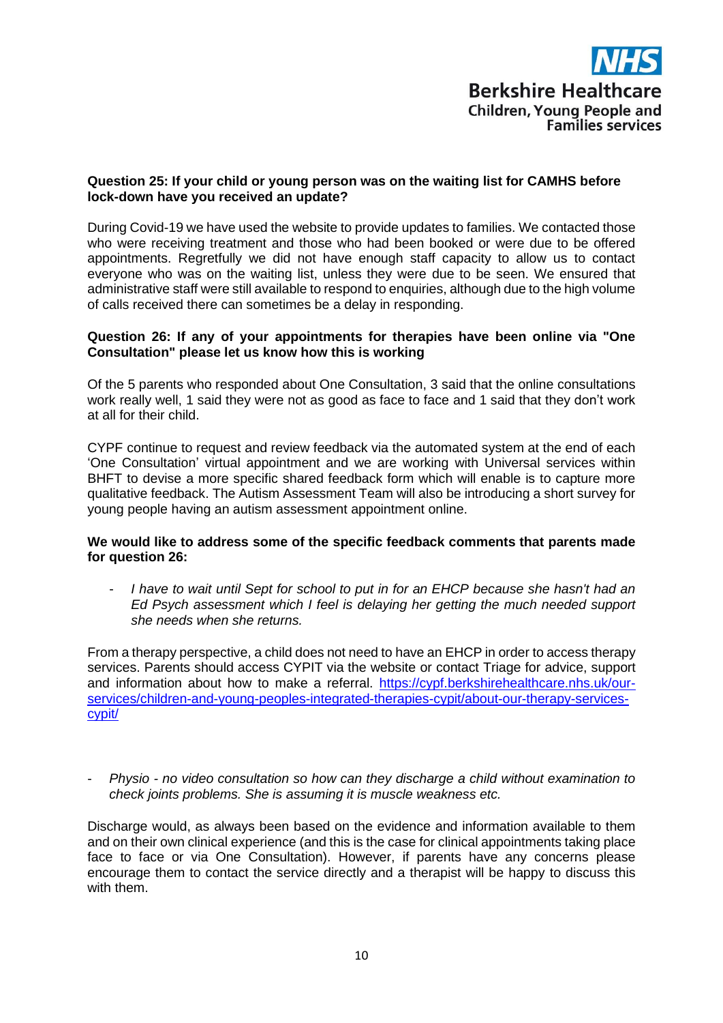

#### **Question 25: If your child or young person was on the waiting list for CAMHS before lock-down have you received an update?**

During Covid-19 we have used the website to provide updates to families. We contacted those who were receiving treatment and those who had been booked or were due to be offered appointments. Regretfully we did not have enough staff capacity to allow us to contact everyone who was on the waiting list, unless they were due to be seen. We ensured that administrative staff were still available to respond to enquiries, although due to the high volume of calls received there can sometimes be a delay in responding.

#### **Question 26: If any of your appointments for therapies have been online via "One Consultation" please let us know how this is working**

Of the 5 parents who responded about One Consultation, 3 said that the online consultations work really well, 1 said they were not as good as face to face and 1 said that they don't work at all for their child.

CYPF continue to request and review feedback via the automated system at the end of each 'One Consultation' virtual appointment and we are working with Universal services within BHFT to devise a more specific shared feedback form which will enable is to capture more qualitative feedback. The Autism Assessment Team will also be introducing a short survey for young people having an autism assessment appointment online.

#### **We would like to address some of the specific feedback comments that parents made for question 26:**

- *I have to wait until Sept for school to put in for an EHCP because she hasn't had an Ed Psych assessment which I feel is delaying her getting the much needed support she needs when she returns.*

From a therapy perspective, a child does not need to have an EHCP in order to access therapy services. Parents should access CYPIT via the website or contact Triage for advice, support and information about how to make a referral. [https://cypf.berkshirehealthcare.nhs.uk/our](https://cypf.berkshirehealthcare.nhs.uk/our-services/children-and-young-peoples-integrated-therapies-cypit/about-our-therapy-services-cypit/)[services/children-and-young-peoples-integrated-therapies-cypit/about-our-therapy-services](https://cypf.berkshirehealthcare.nhs.uk/our-services/children-and-young-peoples-integrated-therapies-cypit/about-our-therapy-services-cypit/)[cypit/](https://cypf.berkshirehealthcare.nhs.uk/our-services/children-and-young-peoples-integrated-therapies-cypit/about-our-therapy-services-cypit/)

- *Physio - no video consultation so how can they discharge a child without examination to check joints problems. She is assuming it is muscle weakness etc.*

Discharge would, as always been based on the evidence and information available to them and on their own clinical experience (and this is the case for clinical appointments taking place face to face or via One Consultation). However, if parents have any concerns please encourage them to contact the service directly and a therapist will be happy to discuss this with them.